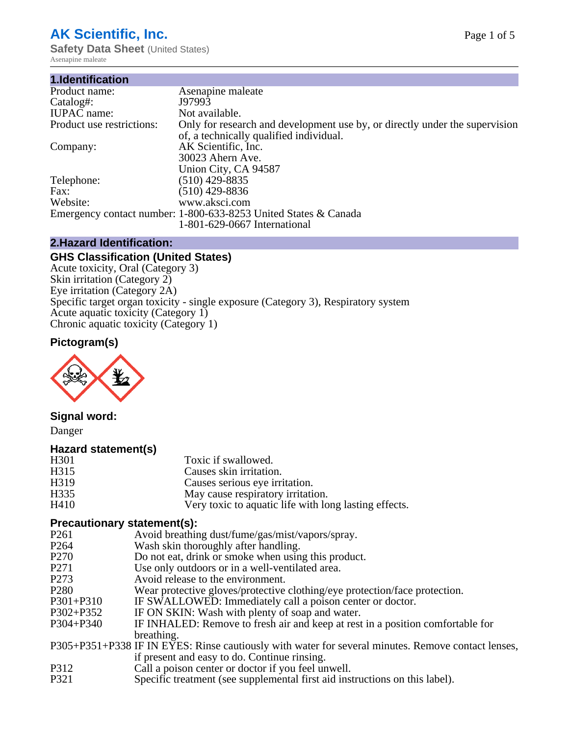# **AK Scientific, Inc.**

**Safety Data Sheet** (United States) Asenapine maleate

| 1.Identification          |                                                                                                                        |
|---------------------------|------------------------------------------------------------------------------------------------------------------------|
| Product name:             | Asenapine maleate                                                                                                      |
| Catalog#:                 | J97993                                                                                                                 |
| <b>IUPAC</b> name:        | Not available.                                                                                                         |
| Product use restrictions: | Only for research and development use by, or directly under the supervision<br>of, a technically qualified individual. |
| Company:                  | AK Scientific, Inc.                                                                                                    |
|                           | 30023 Ahern Ave.                                                                                                       |
|                           | Union City, CA 94587                                                                                                   |
| Telephone:                | $(510)$ 429-8835                                                                                                       |
| Fax:                      | (510) 429-8836                                                                                                         |
| Website:                  | www.aksci.com                                                                                                          |
|                           | Emergency contact number: 1-800-633-8253 United States & Canada                                                        |
|                           | 1-801-629-0667 International                                                                                           |

### **2.Hazard Identification:**

### **GHS Classification (United States)**

Acute toxicity, Oral (Category 3) Skin irritation (Category 2) Eye irritation (Category 2A) Specific target organ toxicity - single exposure (Category 3), Respiratory system Acute aquatic toxicity (Category 1) Chronic aquatic toxicity (Category 1)

# **Pictogram(s)**



## **Signal word:**

Danger

#### **Hazard statement(s)**

| H <sub>301</sub>  | Toxic if swallowed.                                   |
|-------------------|-------------------------------------------------------|
| H315              | Causes skin irritation.                               |
| H <sub>3</sub> 19 | Causes serious eye irritation.                        |
| H335              | May cause respiratory irritation.                     |
| H410              | Very toxic to aquatic life with long lasting effects. |

#### **Precautionary statement(s):**

- P261 Avoid breathing dust/fume/gas/mist/vapors/spray.<br>P264 Wash skin thoroughly after handling.
- P264 Wash skin thoroughly after handling.<br>P270 Do not eat, drink or smoke when usin
- P270 Do not eat, drink or smoke when using this product.<br>P271 Use only outdoors or in a well-ventilated area.
- Use only outdoors or in a well-ventilated area.
- P273 Avoid release to the environment.
- P280 Wear protective gloves/protective clothing/eye protection/face protection.
- P301+P310 IF SWALLOWED: Immediately call a poison center or doctor.
- P302+P352 IF ON SKIN: Wash with plenty of soap and water.<br>P304+P340 IF INHALED: Remove to fresh air and keep at rest
- IF INHALED: Remove to fresh air and keep at rest in a position comfortable for breathing.
- P305+P351+P338 IF IN EYES: Rinse cautiously with water for several minutes. Remove contact lenses, if present and easy to do. Continue rinsing.
- P312 Call a poison center or doctor if you feel unwell.<br>P321 Specific treatment (see supplemental first aid inst
- Specific treatment (see supplemental first aid instructions on this label).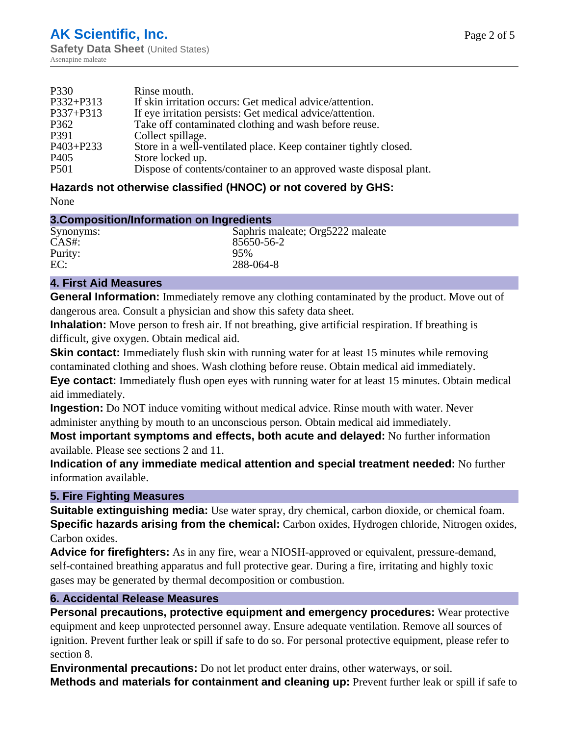| P330             | Rinse mouth.                                                       |
|------------------|--------------------------------------------------------------------|
| P332+P313        | If skin irritation occurs: Get medical advice/attention.           |
| P337+P313        | If eye irritation persists: Get medical advice/attention.          |
| P362             | Take off contaminated clothing and wash before reuse.              |
| P391             | Collect spillage.                                                  |
| $P403 + P233$    | Store in a well-ventilated place. Keep container tightly closed.   |
| P <sub>405</sub> | Store locked up.                                                   |
| P <sub>501</sub> | Dispose of contents/container to an approved waste disposal plant. |

# **Hazards not otherwise classified (HNOC) or not covered by GHS:**

None

## **3.Composition/Information on Ingredients**

| Saphris maleate; Org5222 maleate |
|----------------------------------|
| 85650-56-2                       |
| 95%                              |
| 288-064-8                        |
|                                  |

#### **4. First Aid Measures**

**General Information:** Immediately remove any clothing contaminated by the product. Move out of dangerous area. Consult a physician and show this safety data sheet.

**Inhalation:** Move person to fresh air. If not breathing, give artificial respiration. If breathing is difficult, give oxygen. Obtain medical aid.

**Skin contact:** Immediately flush skin with running water for at least 15 minutes while removing contaminated clothing and shoes. Wash clothing before reuse. Obtain medical aid immediately. **Eye contact:** Immediately flush open eyes with running water for at least 15 minutes. Obtain medical aid immediately.

**Ingestion:** Do NOT induce vomiting without medical advice. Rinse mouth with water. Never administer anything by mouth to an unconscious person. Obtain medical aid immediately.

**Most important symptoms and effects, both acute and delayed:** No further information available. Please see sections 2 and 11.

**Indication of any immediate medical attention and special treatment needed:** No further information available.

## **5. Fire Fighting Measures**

**Suitable extinguishing media:** Use water spray, dry chemical, carbon dioxide, or chemical foam. **Specific hazards arising from the chemical:** Carbon oxides, Hydrogen chloride, Nitrogen oxides, Carbon oxides.

**Advice for firefighters:** As in any fire, wear a NIOSH-approved or equivalent, pressure-demand, self-contained breathing apparatus and full protective gear. During a fire, irritating and highly toxic gases may be generated by thermal decomposition or combustion.

## **6. Accidental Release Measures**

**Personal precautions, protective equipment and emergency procedures:** Wear protective equipment and keep unprotected personnel away. Ensure adequate ventilation. Remove all sources of ignition. Prevent further leak or spill if safe to do so. For personal protective equipment, please refer to section 8.

**Environmental precautions:** Do not let product enter drains, other waterways, or soil. **Methods and materials for containment and cleaning up:** Prevent further leak or spill if safe to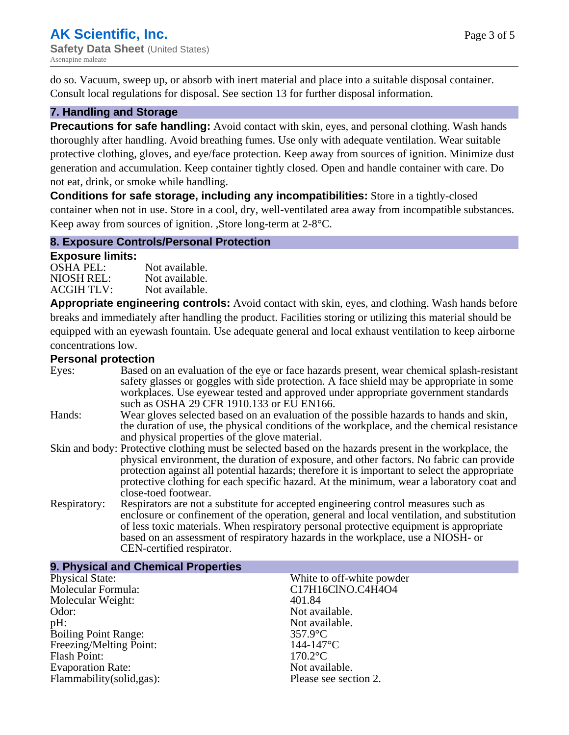do so. Vacuum, sweep up, or absorb with inert material and place into a suitable disposal container. Consult local regulations for disposal. See section 13 for further disposal information.

### **7. Handling and Storage**

**Precautions for safe handling:** Avoid contact with skin, eyes, and personal clothing. Wash hands thoroughly after handling. Avoid breathing fumes. Use only with adequate ventilation. Wear suitable protective clothing, gloves, and eye/face protection. Keep away from sources of ignition. Minimize dust generation and accumulation. Keep container tightly closed. Open and handle container with care. Do not eat, drink, or smoke while handling.

**Conditions for safe storage, including any incompatibilities:** Store in a tightly-closed container when not in use. Store in a cool, dry, well-ventilated area away from incompatible substances. Keep away from sources of ignition. ,Store long-term at 2-8°C.

#### **8. Exposure Controls/Personal Protection**

#### **Exposure limits:**

| <b>OSHA PEL:</b>  | Not available. |
|-------------------|----------------|
| NIOSH REL:        | Not available. |
| <b>ACGIH TLV:</b> | Not available. |

**Appropriate engineering controls:** Avoid contact with skin, eyes, and clothing. Wash hands before breaks and immediately after handling the product. Facilities storing or utilizing this material should be equipped with an eyewash fountain. Use adequate general and local exhaust ventilation to keep airborne concentrations low.

#### **Personal protection**

| . 9. 99. .u. p. 9.999 |                                                                                                                                                                                                                                                                                                                                                                                                                         |
|-----------------------|-------------------------------------------------------------------------------------------------------------------------------------------------------------------------------------------------------------------------------------------------------------------------------------------------------------------------------------------------------------------------------------------------------------------------|
| Eyes:                 | Based on an evaluation of the eye or face hazards present, wear chemical splash-resistant<br>safety glasses or goggles with side protection. A face shield may be appropriate in some<br>workplaces. Use eyewear tested and approved under appropriate government standards<br>such as OSHA 29 CFR 1910.133 or EU EN166.                                                                                                |
| Hands:                | Wear gloves selected based on an evaluation of the possible hazards to hands and skin,<br>the duration of use, the physical conditions of the workplace, and the chemical resistance<br>and physical properties of the glove material.                                                                                                                                                                                  |
|                       | Skin and body: Protective clothing must be selected based on the hazards present in the workplace, the<br>physical environment, the duration of exposure, and other factors. No fabric can provide<br>protection against all potential hazards; therefore it is important to select the appropriate<br>protective clothing for each specific hazard. At the minimum, wear a laboratory coat and<br>close-toed footwear. |
| Respiratory:          | Respirators are not a substitute for accepted engineering control measures such as<br>enclosure or confinement of the operation, general and local ventilation, and substitution<br>of less toxic materials. When respiratory personal protective equipment is appropriate<br>based on an assessment of respiratory hazards in the workplace, use a NIOSH- or<br>CEN-certified respirator.                              |

| White to off-white powder |
|---------------------------|
| C17H16ClNO.C4H4O4         |
| 401.84                    |
| Not available.            |
| Not available.            |
| $357.9$ °C                |
| $144 - 147$ °C            |
| $170.2$ °C                |
| Not available.            |
| Please see section 2.     |
|                           |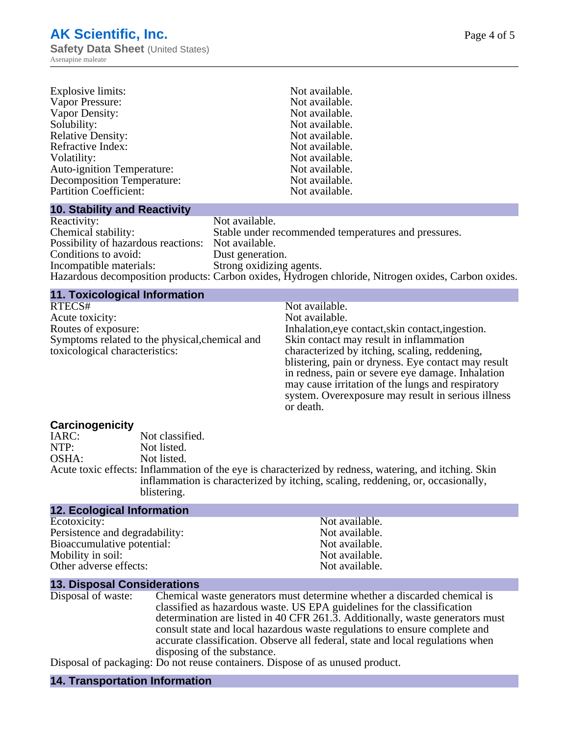| Explosive limits:                 | Not available. |
|-----------------------------------|----------------|
| Vapor Pressure:                   | Not available. |
| Vapor Density:                    | Not available. |
| Solubility:                       | Not available. |
| <b>Relative Density:</b>          | Not available. |
| Refractive Index:                 | Not available. |
| Volatility:                       | Not available. |
| <b>Auto-ignition Temperature:</b> | Not available. |
| <b>Decomposition Temperature:</b> | Not available. |
| <b>Partition Coefficient:</b>     | Not available. |

#### **10. Stability and Reactivity**

| Reactivity:                                        | Not available.                                                                                      |
|----------------------------------------------------|-----------------------------------------------------------------------------------------------------|
| Chemical stability:                                | Stable under recommended temperatures and pressures.                                                |
| Possibility of hazardous reactions: Not available. |                                                                                                     |
| Conditions to avoid:                               | Dust generation.                                                                                    |
| Incompatible materials:                            | Strong oxidizing agents.                                                                            |
|                                                    | Hazardous decomposition products: Carbon oxides, Hydrogen chloride, Nitrogen oxides, Carbon oxides. |

## **11. Toxicological Information**

| RTECS#                                         | Not available.                                      |
|------------------------------------------------|-----------------------------------------------------|
| Acute toxicity:                                | Not available.                                      |
| Routes of exposure:                            | Inhalation, eye contact, skin contact, ingestion.   |
| Symptoms related to the physical, chemical and | Skin contact may result in inflammation             |
| toxicological characteristics:                 | characterized by itching, scaling, reddening,       |
|                                                | blistering, pain or dryness. Eye contact may result |
|                                                | in redness, pain or severe eye damage. Inhalation   |
|                                                | may cause irritation of the lungs and respiratory   |
|                                                | system. Overexposure may result in serious illness  |
|                                                | or death.                                           |

# **Carcinogenicity**

| IARC: | Not classified.                                                                                       |
|-------|-------------------------------------------------------------------------------------------------------|
| NTP:  | Not listed.                                                                                           |
| OSHA: | Not listed.                                                                                           |
|       | Acute toxic effects: Inflammation of the eye is characterized by redness, watering, and itching. Skin |
|       | inflammation is characterized by itching, scaling, reddening, or, occasionally,                       |
|       | blistering.                                                                                           |
|       |                                                                                                       |

# **12. Ecological Information**

| Ecotoxicity:                   | Not available. |
|--------------------------------|----------------|
| Persistence and degradability: | Not available. |
| Bioaccumulative potential:     | Not available. |
| Mobility in soil:              | Not available. |
| Other adverse effects:         | Not available. |
|                                |                |

# **13. Disposal Considerations**

| Disposal of waste: | Chemical waste generators must determine whether a discarded chemical is       |
|--------------------|--------------------------------------------------------------------------------|
|                    | classified as hazardous waste. US EPA guidelines for the classification        |
|                    | determination are listed in 40 CFR 261.3. Additionally, waste generators must  |
|                    | consult state and local hazardous waste regulations to ensure complete and     |
|                    | accurate classification. Observe all federal, state and local regulations when |
|                    | disposing of the substance.                                                    |
|                    |                                                                                |

Disposal of packaging: Do not reuse containers. Dispose of as unused product.

# **14. Transportation Information**